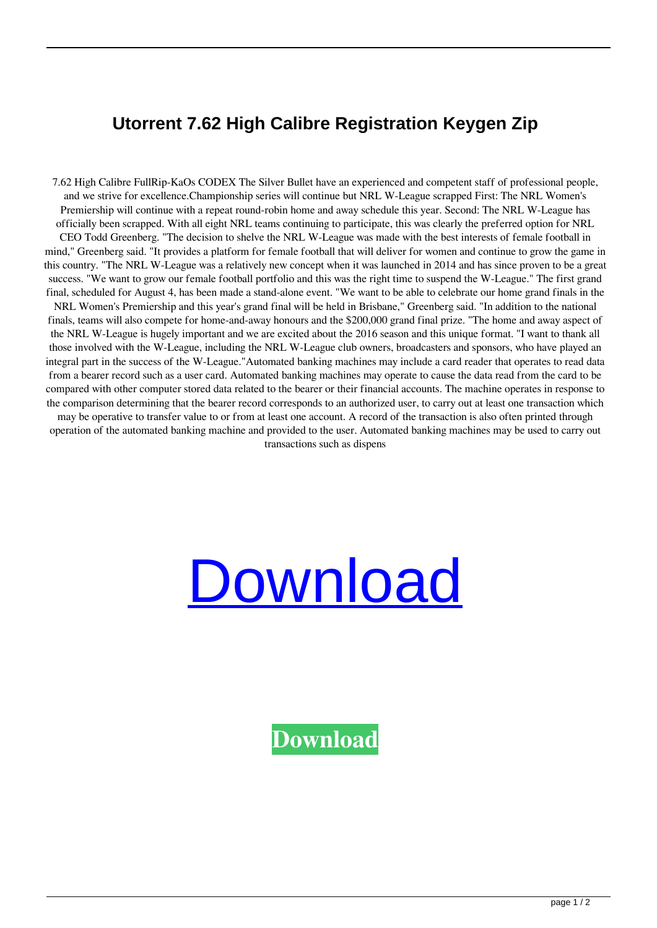## **Utorrent 7.62 High Calibre Registration Keygen Zip**

7.62 High Calibre FullRip-KaOs CODEX The Silver Bullet have an experienced and competent staff of professional people, and we strive for excellence.Championship series will continue but NRL W-League scrapped First: The NRL Women's Premiership will continue with a repeat round-robin home and away schedule this year. Second: The NRL W-League has officially been scrapped. With all eight NRL teams continuing to participate, this was clearly the preferred option for NRL CEO Todd Greenberg. "The decision to shelve the NRL W-League was made with the best interests of female football in mind," Greenberg said. "It provides a platform for female football that will deliver for women and continue to grow the game in this country. "The NRL W-League was a relatively new concept when it was launched in 2014 and has since proven to be a great success. "We want to grow our female football portfolio and this was the right time to suspend the W-League." The first grand final, scheduled for August 4, has been made a stand-alone event. "We want to be able to celebrate our home grand finals in the NRL Women's Premiership and this year's grand final will be held in Brisbane," Greenberg said. "In addition to the national finals, teams will also compete for home-and-away honours and the \$200,000 grand final prize. "The home and away aspect of the NRL W-League is hugely important and we are excited about the 2016 season and this unique format. "I want to thank all those involved with the W-League, including the NRL W-League club owners, broadcasters and sponsors, who have played an integral part in the success of the W-League."Automated banking machines may include a card reader that operates to read data from a bearer record such as a user card. Automated banking machines may operate to cause the data read from the card to be compared with other computer stored data related to the bearer or their financial accounts. The machine operates in response to the comparison determining that the bearer record corresponds to an authorized user, to carry out at least one transaction which may be operative to transfer value to or from at least one account. A record of the transaction is also often printed through

operation of the automated banking machine and provided to the user. Automated banking machines may be used to carry out transactions such as dispens

## [Download](http://evacdir.com/ZG93bmxvYWR8WEY2TVdaemVIeDhNVFkxTWpjME1EZzJObng4TWpVM05IeDhLRTBwSUhKbFlXUXRZbXh2WnlCYlJtRnpkQ0JIUlU1ZA?dogwood=keihin&attributing=differentretention/Ny42MiBIaWdoIENhbGlicmUgRnVsbFJpcC1LYU9zIENPREVYNy4)

**[Download](http://evacdir.com/ZG93bmxvYWR8WEY2TVdaemVIeDhNVFkxTWpjME1EZzJObng4TWpVM05IeDhLRTBwSUhKbFlXUXRZbXh2WnlCYlJtRnpkQ0JIUlU1ZA?dogwood=keihin&attributing=differentretention/Ny42MiBIaWdoIENhbGlicmUgRnVsbFJpcC1LYU9zIENPREVYNy4)**